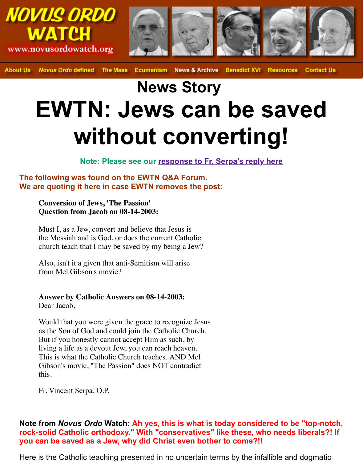## **News Story EWTN: Jews can be say without converting!**

**Note: Please see our response to Fr. Serpa's reply here**

**The following was found on the EWTN Q&A Forum. We are quoting it here in case EWTN removes the post:**

**Conversion of Jews, 'The Passion' Question from Jacob on 08-14-2003:** 

Must I, as a Jew, convert and believe that Jesus is the Messiah and is God, or does the c[urrent Catholic](http://novusordowatch.org/story081803.htm) church teach that I may be saved by my being a Jew?

Also, isn't it a given that anti-Semitism will arise from Mel Gibson's movie?

**Answer by Catholic Answers on 08-14-2003:**  Dear Jacob,

Would that you were given the grace to recognize Jesus as the Son of God and could join the Catholic Church. But if you honestly cannot accept Him as such, by living a life as a devout Jew, you can reach heaven. This is what the Catholic Church teaches. AND Mel Gibson's movie, "The Passion" does NOT contradict this.

Fr. Vincent Serpa, O.P.

## **Note from** *Novus Ordo* **Watch: Ah yes, this is what is today considered to be** rock-solid Catholic orthodoxy." With "conservatives" like these, who needs **you can be saved as a Jew, why did Christ even bother to come?!!**

Here is the Catholic teaching presented in no uncertain terms by the infallible and